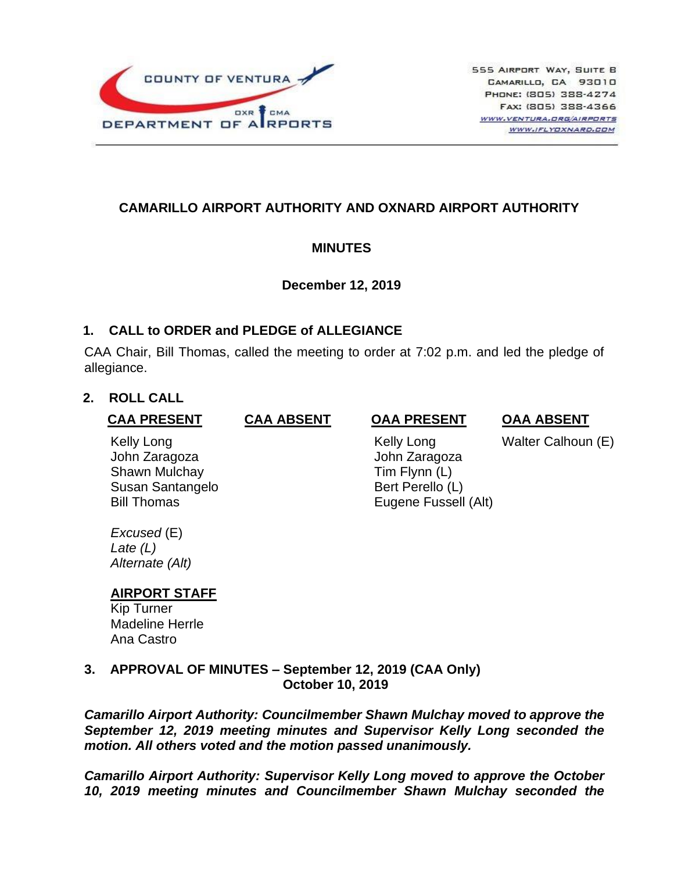

# **CAMARILLO AIRPORT AUTHORITY AND OXNARD AIRPORT AUTHORITY**

## **MINUTES**

## **December 12, 2019**

## **1. CALL to ORDER and PLEDGE of ALLEGIANCE**

CAA Chair, Bill Thomas, called the meeting to order at 7:02 p.m. and led the pledge of allegiance.

## **2. ROLL CALL**

| <b>CAA PRESENT</b>                                                                     | <b>CAA ABSENT</b> | <b>OAA PRESENT</b>                                                                       | <b>OAA ABSENT</b>  |
|----------------------------------------------------------------------------------------|-------------------|------------------------------------------------------------------------------------------|--------------------|
| Kelly Long<br>John Zaragoza<br>Shawn Mulchay<br>Susan Santangelo<br><b>Bill Thomas</b> |                   | Kelly Long<br>John Zaragoza<br>Tim Flynn (L)<br>Bert Perello (L)<br>Eugene Fussell (Alt) | Walter Calhoun (E) |
|                                                                                        |                   |                                                                                          |                    |

*Excused* (E) *Late (L) Alternate (Alt)*

# **AIRPORT STAFF**

Kip Turner Madeline Herrle Ana Castro

**3. APPROVAL OF MINUTES – September 12, 2019 (CAA Only) October 10, 2019** 

*Camarillo Airport Authority: Councilmember Shawn Mulchay moved to approve the September 12, 2019 meeting minutes and Supervisor Kelly Long seconded the motion. All others voted and the motion passed unanimously.*

*Camarillo Airport Authority: Supervisor Kelly Long moved to approve the October 10, 2019 meeting minutes and Councilmember Shawn Mulchay seconded the*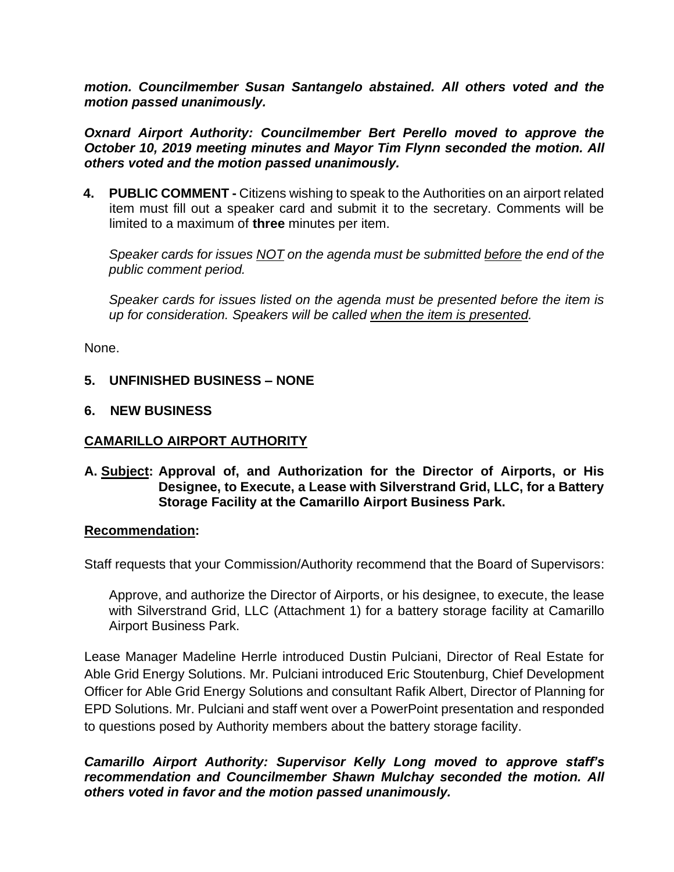*motion. Councilmember Susan Santangelo abstained. All others voted and the motion passed unanimously.*

*Oxnard Airport Authority: Councilmember Bert Perello moved to approve the October 10, 2019 meeting minutes and Mayor Tim Flynn seconded the motion. All others voted and the motion passed unanimously.*

**4. PUBLIC COMMENT -** Citizens wishing to speak to the Authorities on an airport related item must fill out a speaker card and submit it to the secretary. Comments will be limited to a maximum of **three** minutes per item.

*Speaker cards for issues NOT on the agenda must be submitted before the end of the public comment period.* 

*Speaker cards for issues listed on the agenda must be presented before the item is up for consideration. Speakers will be called when the item is presented.*

None.

## **5. UNFINISHED BUSINESS – NONE**

## **6. NEW BUSINESS**

## **CAMARILLO AIRPORT AUTHORITY**

**A. Subject: Approval of, and Authorization for the Director of Airports, or His Designee, to Execute, a Lease with Silverstrand Grid, LLC, for a Battery Storage Facility at the Camarillo Airport Business Park.** 

#### **Recommendation:**

Staff requests that your Commission/Authority recommend that the Board of Supervisors:

Approve, and authorize the Director of Airports, or his designee, to execute, the lease with Silverstrand Grid, LLC (Attachment 1) for a battery storage facility at Camarillo Airport Business Park.

Lease Manager Madeline Herrle introduced Dustin Pulciani, Director of Real Estate for Able Grid Energy Solutions. Mr. Pulciani introduced Eric Stoutenburg, Chief Development Officer for Able Grid Energy Solutions and consultant Rafik Albert, Director of Planning for EPD Solutions. Mr. Pulciani and staff went over a PowerPoint presentation and responded to questions posed by Authority members about the battery storage facility.

## *Camarillo Airport Authority: Supervisor Kelly Long moved to approve staff's recommendation and Councilmember Shawn Mulchay seconded the motion. All others voted in favor and the motion passed unanimously.*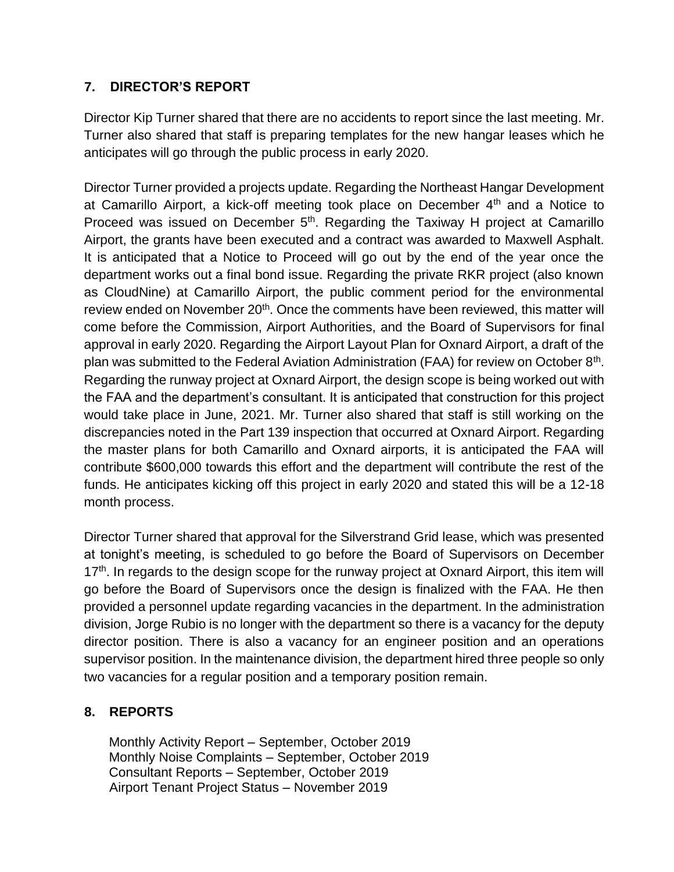# **7. DIRECTOR'S REPORT**

Director Kip Turner shared that there are no accidents to report since the last meeting. Mr. Turner also shared that staff is preparing templates for the new hangar leases which he anticipates will go through the public process in early 2020.

Director Turner provided a projects update. Regarding the Northeast Hangar Development at Camarillo Airport, a kick-off meeting took place on December 4th and a Notice to Proceed was issued on December  $5<sup>th</sup>$ . Regarding the Taxiway H project at Camarillo Airport, the grants have been executed and a contract was awarded to Maxwell Asphalt. It is anticipated that a Notice to Proceed will go out by the end of the year once the department works out a final bond issue. Regarding the private RKR project (also known as CloudNine) at Camarillo Airport, the public comment period for the environmental review ended on November 20<sup>th</sup>. Once the comments have been reviewed, this matter will come before the Commission, Airport Authorities, and the Board of Supervisors for final approval in early 2020. Regarding the Airport Layout Plan for Oxnard Airport, a draft of the plan was submitted to the Federal Aviation Administration (FAA) for review on October 8<sup>th</sup>. Regarding the runway project at Oxnard Airport, the design scope is being worked out with the FAA and the department's consultant. It is anticipated that construction for this project would take place in June, 2021. Mr. Turner also shared that staff is still working on the discrepancies noted in the Part 139 inspection that occurred at Oxnard Airport. Regarding the master plans for both Camarillo and Oxnard airports, it is anticipated the FAA will contribute \$600,000 towards this effort and the department will contribute the rest of the funds. He anticipates kicking off this project in early 2020 and stated this will be a 12-18 month process.

Director Turner shared that approval for the Silverstrand Grid lease, which was presented at tonight's meeting, is scheduled to go before the Board of Supervisors on December  $17<sup>th</sup>$ . In regards to the design scope for the runway project at Oxnard Airport, this item will go before the Board of Supervisors once the design is finalized with the FAA. He then provided a personnel update regarding vacancies in the department. In the administration division, Jorge Rubio is no longer with the department so there is a vacancy for the deputy director position. There is also a vacancy for an engineer position and an operations supervisor position. In the maintenance division, the department hired three people so only two vacancies for a regular position and a temporary position remain.

# **8. REPORTS**

Monthly Activity Report – September, October 2019 Monthly Noise Complaints – September, October 2019 Consultant Reports – September, October 2019 Airport Tenant Project Status – November 2019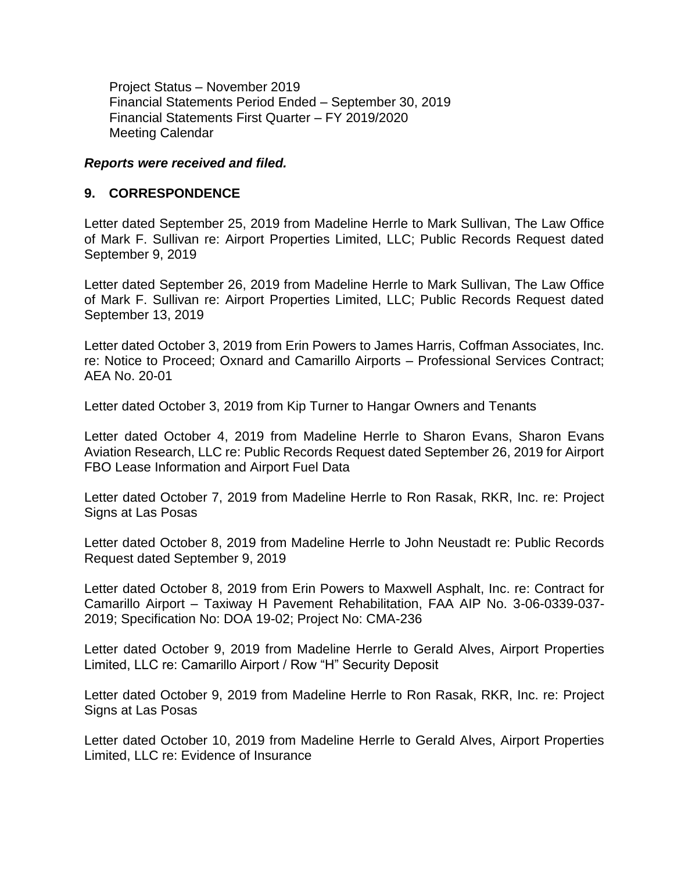Project Status – November 2019 Financial Statements Period Ended – September 30, 2019 Financial Statements First Quarter – FY 2019/2020 Meeting Calendar

#### *Reports were received and filed.*

#### **9. CORRESPONDENCE**

Letter dated September 25, 2019 from Madeline Herrle to Mark Sullivan, The Law Office of Mark F. Sullivan re: Airport Properties Limited, LLC; Public Records Request dated September 9, 2019

Letter dated September 26, 2019 from Madeline Herrle to Mark Sullivan, The Law Office of Mark F. Sullivan re: Airport Properties Limited, LLC; Public Records Request dated September 13, 2019

Letter dated October 3, 2019 from Erin Powers to James Harris, Coffman Associates, Inc. re: Notice to Proceed; Oxnard and Camarillo Airports – Professional Services Contract; AEA No. 20-01

Letter dated October 3, 2019 from Kip Turner to Hangar Owners and Tenants

Letter dated October 4, 2019 from Madeline Herrle to Sharon Evans, Sharon Evans Aviation Research, LLC re: Public Records Request dated September 26, 2019 for Airport FBO Lease Information and Airport Fuel Data

Letter dated October 7, 2019 from Madeline Herrle to Ron Rasak, RKR, Inc. re: Project Signs at Las Posas

Letter dated October 8, 2019 from Madeline Herrle to John Neustadt re: Public Records Request dated September 9, 2019

Letter dated October 8, 2019 from Erin Powers to Maxwell Asphalt, Inc. re: Contract for Camarillo Airport – Taxiway H Pavement Rehabilitation, FAA AIP No. 3-06-0339-037- 2019; Specification No: DOA 19-02; Project No: CMA-236

Letter dated October 9, 2019 from Madeline Herrle to Gerald Alves, Airport Properties Limited, LLC re: Camarillo Airport / Row "H" Security Deposit

Letter dated October 9, 2019 from Madeline Herrle to Ron Rasak, RKR, Inc. re: Project Signs at Las Posas

Letter dated October 10, 2019 from Madeline Herrle to Gerald Alves, Airport Properties Limited, LLC re: Evidence of Insurance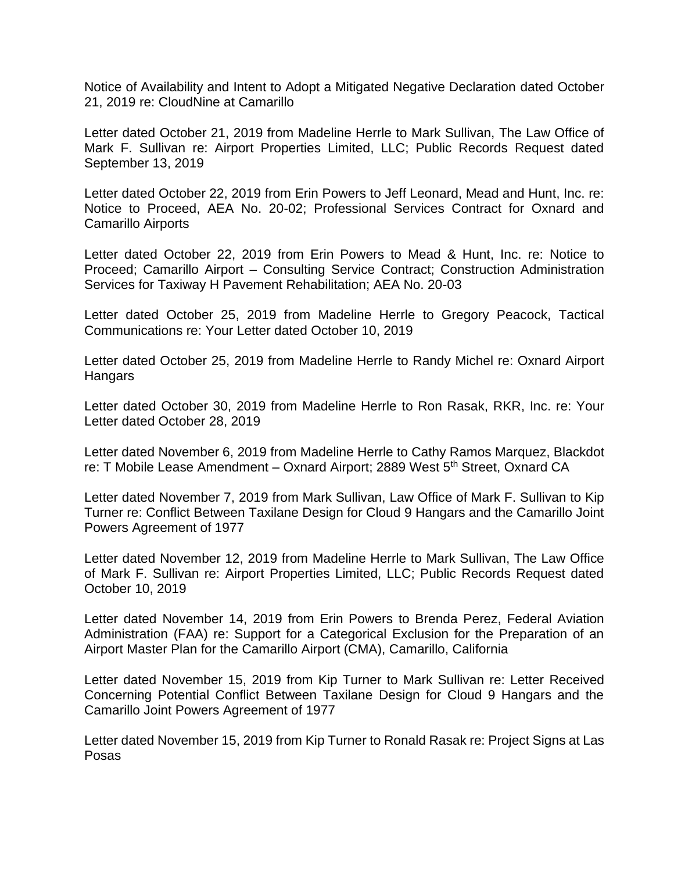Notice of Availability and Intent to Adopt a Mitigated Negative Declaration dated October 21, 2019 re: CloudNine at Camarillo

Letter dated October 21, 2019 from Madeline Herrle to Mark Sullivan, The Law Office of Mark F. Sullivan re: Airport Properties Limited, LLC; Public Records Request dated September 13, 2019

Letter dated October 22, 2019 from Erin Powers to Jeff Leonard, Mead and Hunt, Inc. re: Notice to Proceed, AEA No. 20-02; Professional Services Contract for Oxnard and Camarillo Airports

Letter dated October 22, 2019 from Erin Powers to Mead & Hunt, Inc. re: Notice to Proceed; Camarillo Airport – Consulting Service Contract; Construction Administration Services for Taxiway H Pavement Rehabilitation; AEA No. 20-03

Letter dated October 25, 2019 from Madeline Herrle to Gregory Peacock, Tactical Communications re: Your Letter dated October 10, 2019

Letter dated October 25, 2019 from Madeline Herrle to Randy Michel re: Oxnard Airport Hangars

Letter dated October 30, 2019 from Madeline Herrle to Ron Rasak, RKR, Inc. re: Your Letter dated October 28, 2019

Letter dated November 6, 2019 from Madeline Herrle to Cathy Ramos Marquez, Blackdot re: T Mobile Lease Amendment – Oxnard Airport; 2889 West 5<sup>th</sup> Street, Oxnard CA

Letter dated November 7, 2019 from Mark Sullivan, Law Office of Mark F. Sullivan to Kip Turner re: Conflict Between Taxilane Design for Cloud 9 Hangars and the Camarillo Joint Powers Agreement of 1977

Letter dated November 12, 2019 from Madeline Herrle to Mark Sullivan, The Law Office of Mark F. Sullivan re: Airport Properties Limited, LLC; Public Records Request dated October 10, 2019

Letter dated November 14, 2019 from Erin Powers to Brenda Perez, Federal Aviation Administration (FAA) re: Support for a Categorical Exclusion for the Preparation of an Airport Master Plan for the Camarillo Airport (CMA), Camarillo, California

Letter dated November 15, 2019 from Kip Turner to Mark Sullivan re: Letter Received Concerning Potential Conflict Between Taxilane Design for Cloud 9 Hangars and the Camarillo Joint Powers Agreement of 1977

Letter dated November 15, 2019 from Kip Turner to Ronald Rasak re: Project Signs at Las Posas